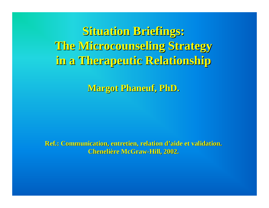**Situation Briefings: Situation Briefings: The Microcounseling Microcounseling Strategy Strategy in a Therapeutic Therapeutic Relationship Relationship**

**Margot Phaneuf, Margot Phaneuf, PhD .**

**Ref.: Communication, entretien, relation d .: Communication, entretien, relation d'aide et validation. aide et validation. Chenelière McGraw-Hill, 2002.**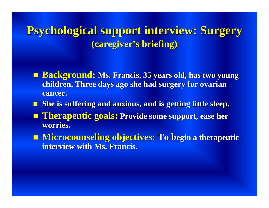**Psychological Psychological support interview: support interview: Surgery Surgery (caregiver caregiver's briefing) briefing)**

- **E** Background: Ms. Francis, 35 years old, has two young **children children. Three days ago she had surgery surgery for ovarian ovarian cancer. cancer.**
- **She is suffering suffering and anxious anxious, and is getting getting little sleep.**
- **Therapeutic goals:** Provide some support, ease her **worries worries.**
- **Microcounseling Microcounseling objectives: objectives: To begin a therapeutic therapeutic interview with Ms. Francis.**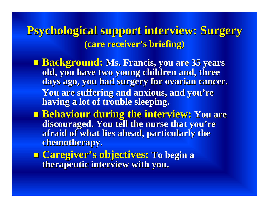**Psychological Psychological support interview: support interview: Surgery Surgery (care receiver receiver 's briefing) briefing)**

- **E Background: Ms. Francis, you are 35 years old, you have two young children children and, three days** ago, you had surgery for ovarian cancer. **You are suffering suffering and anxious anxious, and you 're having a lot of trouble sleeping. trouble sleeping.**
- **Behaviour Behaviour during the interview: interview: You are discouraged. You tell the nurse that you're afraid of what lies ahead, particularly particularly the chemotherapy chemotherapy.**
- **Caregiver Caregiver 's objectives: s objectives: To begin <sup>a</sup> therapeutic therapeutic interview interview with you .**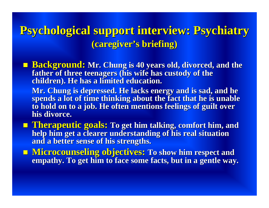# **Psychological Psychological support interview: support interview: Psychiatry Psychiatry (caregiver caregiver's briefing) briefing)**

- **E** Background: Mr. Chung is 40 years old, divorced, and the **father of three teenagers ( teenagers (his wife has custody custody of the children children). He has a limited limited education education.**
	- **Mr. Chung is depressed depressed. He lacks energy and is sad, and he spends a lot of time thinking thinking about the fact that he is unable to hold on to a job. He often mentions feelings of guilt over his divorce. divorce.**
- **Therapeutic Therapeutic goals: To get him talking talking, comfort comfort him, and help him get a clearer understanding of his real situation and a better sense of his strengths strengths.**
- **Microcounseling objectives:** To show him respect and **empathy. To get him to face some facts, but in a gentle way.**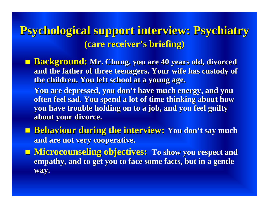## **Psychological support interview: Psychiatry (care receiver receiver's briefing) briefing)**

 **Background: Background: Mr. Chung, you are 40 years old, divorced divorced and the father of three teenagers. teenagers. Your wife has custody custody of the children children. You left school at a young age.**

**You are depressed depressed, you don't have much energy, and you often feel sad. You spend a lot of time thinking thinking about how you have trouble holding on to a job, have trouble holding on to a job, and you feel guilty about your divorce.** 

- **Behaviour Behaviour during the interview: interview: You don't say much and are not very cooperative cooperative.**
- **Microcounseling objectives:** To show you respect and **empathy, and to get you to face some facts, but in a gentle way.**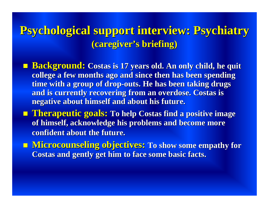# **Psychological support interview: Psychiatry (caregiver caregiver's briefing) briefing)**

- **Background: Background: Costas is 17 years old. An only child, he quit college a** few months ago and since then has been spending **time** with a group of drop-outs. He has been taking drugs **and is currently currently recovering recovering from an overdose. an overdose. Costas is negative negative about himself himself and about his future. future.**
- **Therapeutic goals:** To help Costas find a positive image **of himself himself, acknowledge acknowledge his problems problems and become more confident about confident about the future. future.**
- **Microcounseling objectives:** To show some empathy for **Costas and gently get him to face some basic facts.**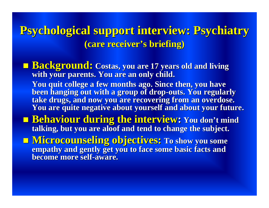**Psychological support interview: Psychiatry (care receiver receiver's briefing) briefing)**

- **Background: Background: Costas, you are 17 years old and living with your parents. parents. You are an only child. You quit college college a few months ago. Since then, you have been hanging hanging out with a group a group of drop-outs. You regularly regularly take drugs, and now you are recovering from an overdose. You are quite negative negative about yourself yourself and about your future. future.**
- **Behaviour Behaviour during the interview interview: You don't mind talking, but you are aloof and tend to change the subject.**
- **Microcounseling objectives:** To show you some **empathy empathy and gently get you to face to face some basic facts and become more self-aware.**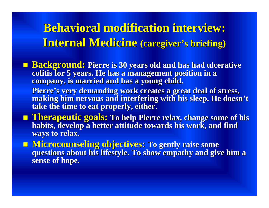## **Behavioral modification interview:**  $$ **s briefing) briefing)**

- **Background: Background: Pierre is 30 years old and has had ulcerative ulcerative colitis colitis for 5 years. He has a management position in a a management position in a company company, is married married and has a young child.**
	- **Pierre's very demanding work creates a great deal of stress, making him nervous nervous and interfering interfering with his sleep. He doesn't take the time to eat properly properly, either.**
- $\blacksquare$  **Therapeutic goals:** To help Pierre relax, change some of his **habits, develop a** better attitude towards his work, and find **ways to relax. to relax.**
- **Microcounseling Microcounseling objectives objectives: To gently raise some questions about questions about his lifestyle lifestyle. To show . To show empathy empathy and give him <sup>a</sup> sense of hope.**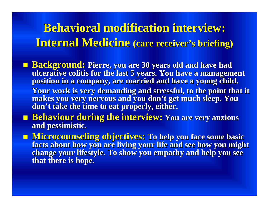## **Behavioral modification interview:**  $\frac{Internal}{}$  **Medicine** (care receiver' **s briefing) briefing)**

- **Background: Background: Pierre, Pierre, you are 30 years old and have had ulcerative ulcerative colitis colitis for the last 5 years. You have a management have a management position in a company, are married and have a young child. Your work is very demanding demanding and stressful stressful, to the point that it makes you very nervous nervous and you don't get much sleep. You don't take the time to eat properly properly, either.**
- **Behaviour Behaviour during the interview: interview: You are very anxious anxious and pessimistic pessimistic.**
- **Microcounseling objectives:** To help you face some basic **facts about how you are living your life and see how you might change your lifestyle. To show you empathy and help you see that there is hope.**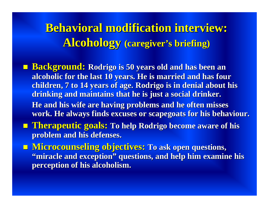**Behavioral modification interview: Alcohology Alcohology (caregiver caregiver's briefing) briefing)**

- **Background: Rodrigo is 50 years old and has been an alcoholic for the last 10 years. He is married and has four alcoholic for the last 10 years. He is married and has four children, 7 to 14 years of age. Rodrigo is in denial about his children, 7 to 14 years of age. Rodrigo is in denial about his drinking and maintains that he is just a social drinker. He and his wife are having problems and he often misses** work. He always finds excuses or scapegoats for his behaviour.
- **Therapeutic goals:** To help Rodrigo become aware of his **problem and his defenses. problem and his defenses.**
- **Microcounseling objectives:** To ask open questions, **"miracle and exception" questions, and help him examine his perception of his alcoholism. perception of his alcoholism.**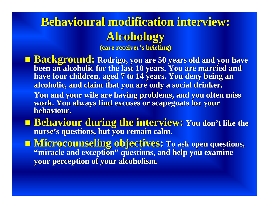# **Behavioural modification interview: Alcohology Alcohology**

**(care receiver receiver's briefing) briefing)**

- **Background:** Rodrigo, you are 50 years old and you have been an alcoholic for the last 10 years. You are married and have four children, aged 7 to 14 years. You deny being an **alcoholic, and claim that you are only a social drinker. alcoholic, and claim that you are only a social drinker.** You and your wife are having problems, and you often miss work. You always find excuses or scapegoats for your **behaviour behaviour.**
- **Behaviour during the interview: You don't like the nurse's questions, but you remain calm. s questions, but you remain calm.**
- $\blacksquare$  **Microcounseling objectives: To ask open questions,** "miracle and exception" questions, and help you examine **your perception of your alcoholism. your perception of your alcoholism.**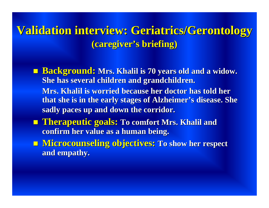#### **Validation interview: Validation interview: Geriatrics Geriatrics/Gerontology Gerontology (caregiver caregiver 's briefing) briefing)**

- **E** Background: Mrs. Khalil is 70 years old and a widow. **She has several several children children and grandchildren grandchildren.**   $\bf{Mrs.}$  Khalil is worried because her doctor has told her
	- **that she is in the early stages of Alzheimer Alzheimer's disease disease. She sadly paces up and down the corridor. corridor.**
- **E** Therapeutic goals: To comfort Mrs. Khalil and **confirm her value as a human being.**
- **Microcounseling objectives:** To show her respect **and empathy empathy.**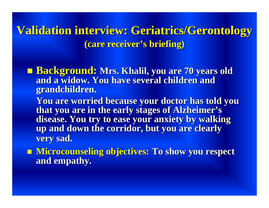**Validation interview: Geriatrics/Gerontology (care receiver receiver 's briefing) briefing)**

**E** Background: Mrs. Khalil, you are 70 years old **and a widow. You have several several children children and grandchildren grandchildren.** 

**You are worried worried because because your doctor has told you that you are in the early stages of Alzheimer's disease disease. You try to ease your anxiety anxiety by walking walking up and down the corridor, but corridor, but you are clearly clearly very sad.** 

**Microcounseling objectives: To show you respect and empathy empathy .**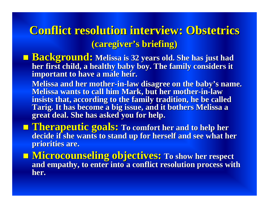#### **Conflict resolution interview: Obstetrics (caregiver caregiver 's briefing) briefing)**

- **Background: Background: Melissa Melissa is 32 years old. She has just had her first child, a healthy healthy baby boy. baby boy. The family considers considers it important to have a male heir.** 
	- **Melissa and her mother-in-law disagree on the baby's name. Melissa Melissa wants to call him Mark, but Mark, but her mother -in -law insists insists that, according according to the family tradition, tradition, he be called Tarig. It has become a big issue, and it bothers Melissa a great deal.** She has asked you for help.
- **Therapeutic Therapeutic goals: To comfort comfort her and to help to help her decide if she wants to stand to stand up for herself herself and see what her priorities priorities are.**
- **Microcounseling objectives:** To show her respect **and empathy empathy, to enter , to enter into a conflict conflict resolution resolution process process with her.**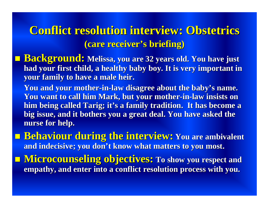## **Conflict resolution interview: Obstetrics (care receiver receiver's briefing) briefing)**

- **E** Background: Melissa, you are 32 years old. You have just **had your first child, a healthy healthy baby boy. baby boy. It is very important in important in your family to have a male heir.** 
	- **You and your mother-in-law disagree disagree about the baby's name. You want to call him Mark, but Mark, but your mother-in-law insists insists on him being called Tarig; it's a family tradition. tradition. It has become <sup>a</sup> big issue, and it bothers bothers you a great deal. You have asked the nurse for help. nurse for help.**
- **E** Behaviour during the interview: You are ambivalent **and indecisive indecisive; you don't know what matters matters to you most.**
- **Microcounseling objectives:** To show you respect and **empathy empathy, and enter into a conflict conflict resolution resolution process process with you.**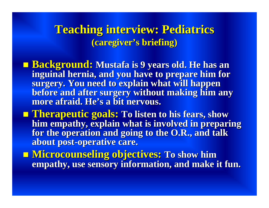#### **Teaching Teaching interview: interview: Pediatrics Pediatrics (caregiver caregiver 's briefing) briefing)**

- **E** Background: Mustafa is 9 years old. He has an **inguinal hernia, and you have to prepare him for surgery surgery. You need to explain explain what will happen before and after surgery surgery without without making him any**  $\bold{more\,}$  afraid. He's a bit nervous.
- **Therapeutic Therapeutic goals: To listen to his fears, show him empathy empathy, explain explain what is involved involved in preparing preparing for the operation operation and going to the O.R., and talk about post about post -operative operative care.**
- $\blacksquare$  **Microcounseling objectives:** To show him **empathy empathy, use sensory sensory information, information, and make it fun.**